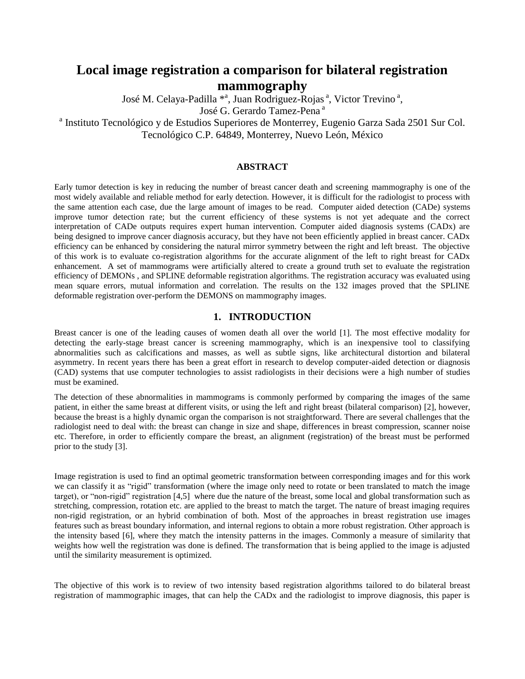# **Local image registration a comparison for bilateral registration mammography**

José M. Celaya-Padilla \*<sup>a</sup>, Juan Rodriguez-Rojas<sup>a</sup>, Victor Trevino<sup>a</sup>,

José G. Gerardo Tamez-Pena<sup>a</sup>

<sup>a</sup> Instituto Tecnológico y de Estudios Superiores de Monterrey, Eugenio Garza Sada 2501 Sur Col.

Tecnológico C.P. 64849, Monterrey, Nuevo León, México

## **ABSTRACT**

Early tumor detection is key in reducing the number of breast cancer death and screening mammography is one of the most widely available and reliable method for early detection. However, it is difficult for the radiologist to process with the same attention each case, due the large amount of images to be read. Computer aided detection (CADe) systems improve tumor detection rate; but the current efficiency of these systems is not yet adequate and the correct interpretation of CADe outputs requires expert human intervention. Computer aided diagnosis systems (CADx) are being designed to improve cancer diagnosis accuracy, but they have not been efficiently applied in breast cancer. CADx efficiency can be enhanced by considering the natural mirror symmetry between the right and left breast. The objective of this work is to evaluate co-registration algorithms for the accurate alignment of the left to right breast for CADx enhancement. A set of mammograms were artificially altered to create a ground truth set to evaluate the registration efficiency of DEMONs , and SPLINE deformable registration algorithms. The registration accuracy was evaluated using mean square errors, mutual information and correlation. The results on the 132 images proved that the SPLINE deformable registration over-perform the DEMONS on mammography images.

## **1. INTRODUCTION**

Breast cancer is one of the leading causes of women death all over the world [1]. The most effective modality for detecting the early-stage breast cancer is screening mammography, which is an inexpensive tool to classifying abnormalities such as calcifications and masses, as well as subtle signs, like architectural distortion and bilateral asymmetry. In recent years there has been a great effort in research to develop computer-aided detection or diagnosis (CAD) systems that use computer technologies to assist radiologists in their decisions were a high number of studies must be examined.

The detection of these abnormalities in mammograms is commonly performed by comparing the images of the same patient, in either the same breast at different visits, or using the left and right breast (bilateral comparison) [2], however, because the breast is a highly dynamic organ the comparison is not straightforward. There are several challenges that the radiologist need to deal with: the breast can change in size and shape, differences in breast compression, scanner noise etc. Therefore, in order to efficiently compare the breast, an alignment (registration) of the breast must be performed prior to the study [3].

Image registration is used to find an optimal geometric transformation between corresponding images and for this work we can classify it as "rigid" transformation (where the image only need to rotate or been translated to match the image target), or "non-rigid" registration [4,5] where due the nature of the breast, some local and global transformation such as stretching, compression, rotation etc. are applied to the breast to match the target. The nature of breast imaging requires non-rigid registration, or an hybrid combination of both. Most of the approaches in breast registration use images features such as breast boundary information, and internal regions to obtain a more robust registration. Other approach is the intensity based [6], where they match the intensity patterns in the images. Commonly a measure of similarity that weights how well the registration was done is defined. The transformation that is being applied to the image is adjusted until the similarity measurement is optimized.

The objective of this work is to review of two intensity based registration algorithms tailored to do bilateral breast registration of mammographic images, that can help the CADx and the radiologist to improve diagnosis, this paper is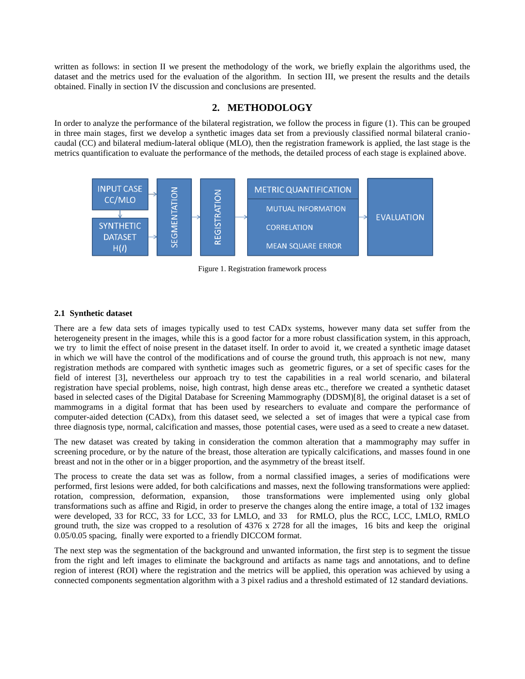written as follows: in section II we present the methodology of the work, we briefly explain the algorithms used, the dataset and the metrics used for the evaluation of the algorithm. In section III, we present the results and the details obtained. Finally in section IV the discussion and conclusions are presented.

# **2. METHODOLOGY**

In order to analyze the performance of the bilateral registration, we follow the process in figure (1). This can be grouped in three main stages, first we develop a synthetic images data set from a previously classified normal bilateral craniocaudal (CC) and bilateral medium-lateral oblique (MLO), then the registration framework is applied, the last stage is the metrics quantification to evaluate the performance of the methods, the detailed process of each stage is explained above.



Figure 1. Registration framework process

## **2.1 Synthetic dataset**

There are a few data sets of images typically used to test CADx systems, however many data set suffer from the heterogeneity present in the images, while this is a good factor for a more robust classification system, in this approach, we try to limit the effect of noise present in the dataset itself. In order to avoid it, we created a synthetic image dataset in which we will have the control of the modifications and of course the ground truth, this approach is not new, many registration methods are compared with synthetic images such as geometric figures, or a set of specific cases for the field of interest [3], nevertheless our approach try to test the capabilities in a real world scenario, and bilateral registration have special problems, noise, high contrast, high dense areas etc., therefore we created a synthetic dataset based in selected cases of the Digital Database for Screening Mammography (DDSM)[8], the original dataset is a set of mammograms in a digital format that has been used by researchers to evaluate and compare the performance of computer-aided detection (CADx), from this dataset seed, we selected a set of images that were a typical case from three diagnosis type, normal, calcification and masses, those potential cases, were used as a seed to create a new dataset.

The new dataset was created by taking in consideration the common alteration that a mammography may suffer in screening procedure, or by the nature of the breast, those alteration are typically calcifications, and masses found in one breast and not in the other or in a bigger proportion, and the asymmetry of the breast itself.

The process to create the data set was as follow, from a normal classified images, a series of modifications were performed, first lesions were added, for both calcifications and masses, next the following transformations were applied: rotation, compression, deformation, expansion, those transformations were implemented using only global transformations such as affine and Rigid, in order to preserve the changes along the entire image, a total of 132 images were developed, 33 for RCC, 33 for LCC, 33 for LMLO, and 33 for RMLO, plus the RCC, LCC, LMLO, RMLO ground truth, the size was cropped to a resolution of 4376 x 2728 for all the images, 16 bits and keep the original 0.05/0.05 spacing, finally were exported to a friendly DICCOM format.

The next step was the segmentation of the background and unwanted information, the first step is to segment the tissue from the right and left images to eliminate the background and artifacts as name tags and annotations, and to define region of interest (ROI) where the registration and the metrics will be applied, this operation was achieved by using a connected components segmentation algorithm with a 3 pixel radius and a threshold estimated of 12 standard deviations.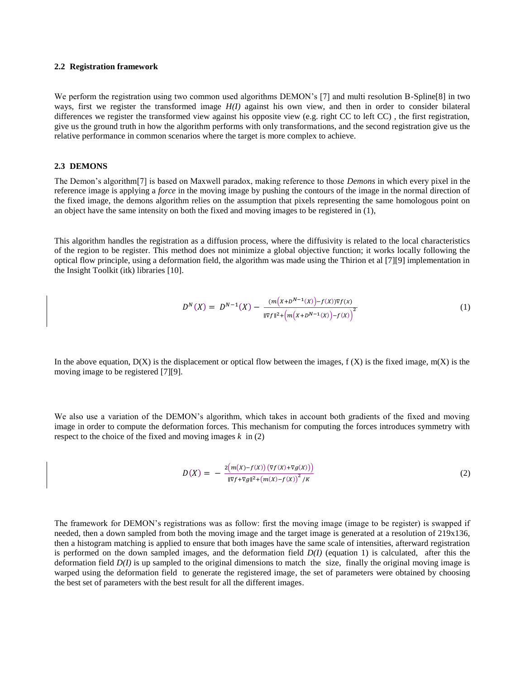#### **2.2 Registration framework**

We perform the registration using two common used algorithms DEMON's [7] and multi resolution B-Spline[8] in two ways, first we register the transformed image *H(I)* against his own view, and then in order to consider bilateral differences we register the transformed view against his opposite view (e.g. right CC to left CC) , the first registration, give us the ground truth in how the algorithm performs with only transformations, and the second registration give us the relative performance in common scenarios where the target is more complex to achieve.

### **2.3 DEMONS**

The Demon's algorithm[7] is based on Maxwell paradox, making reference to those *Demons* in which every pixel in the reference image is applying a *force* in the moving image by pushing the contours of the image in the normal direction of the fixed image, the demons algorithm relies on the assumption that pixels representing the same homologous point on an object have the same intensity on both the fixed and moving images to be registered in (1),

This algorithm handles the registration as a diffusion process, where the diffusivity is related to the local characteristics of the region to be register. This method does not minimize a global objective function; it works locally following the optical flow principle, using a deformation field, the algorithm was made using the Thirion et al [7][9] implementation in the Insight Toolkit (itk) libraries [10].

$$
D^{N}(X) = D^{N-1}(X) - \frac{(m(X + D^{N-1}(X)) - f(X))\nabla f(X)}{\|\nabla f\|^{2} + \left(m(X + D^{N-1}(X)) - f(X)\right)^{2}}
$$
\n(1)

In the above equation,  $D(X)$  is the displacement or optical flow between the images,  $f(X)$  is the fixed image,  $m(X)$  is the moving image to be registered [7][9].

We also use a variation of the DEMON's algorithm, which takes in account both gradients of the fixed and moving image in order to compute the deformation forces. This mechanism for computing the forces introduces symmetry with respect to the choice of the fixed and moving images *k* in (2)

$$
D(X) = -\frac{2(m(X) - f(X))(\nabla f(X) + \nabla g(X))}{\|\nabla f + \nabla g\|^2 + (m(X) - f(X))^2 / K}
$$
\n(2)

The framework for DEMON's registrations was as follow: first the moving image (image to be register) is swapped if needed, then a down sampled from both the moving image and the target image is generated at a resolution of 219x136, then a histogram matching is applied to ensure that both images have the same scale of intensities, afterward registration is performed on the down sampled images, and the deformation field *D(I)* (equation 1) is calculated, after this the deformation field *D(I)* is up sampled to the original dimensions to match the size, finally the original moving image is warped using the deformation field to generate the registered image, the set of parameters were obtained by choosing the best set of parameters with the best result for all the different images.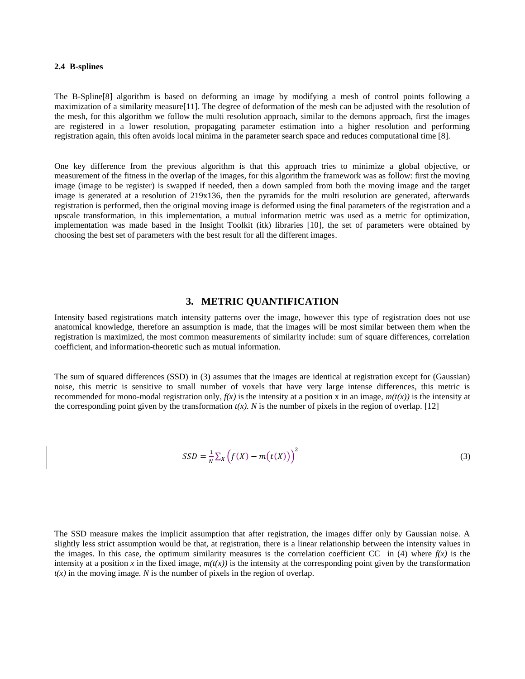#### **2.4 B-splines**

The B-Spline[8] algorithm is based on deforming an image by modifying a mesh of control points following a maximization of a similarity measure[11]. The degree of deformation of the mesh can be adjusted with the resolution of the mesh, for this algorithm we follow the multi resolution approach, similar to the demons approach, first the images are registered in a lower resolution, propagating parameter estimation into a higher resolution and performing registration again, this often avoids local minima in the parameter search space and reduces computational time [8].

One key difference from the previous algorithm is that this approach tries to minimize a global objective, or measurement of the fitness in the overlap of the images, for this algorithm the framework was as follow: first the moving image (image to be register) is swapped if needed, then a down sampled from both the moving image and the target image is generated at a resolution of 219x136, then the pyramids for the multi resolution are generated, afterwards registration is performed, then the original moving image is deformed using the final parameters of the registration and a upscale transformation, in this implementation, a mutual information metric was used as a metric for optimization, implementation was made based in the Insight Toolkit (itk) libraries [10], the set of parameters were obtained by choosing the best set of parameters with the best result for all the different images.

## **3. METRIC QUANTIFICATION**

Intensity based registrations match intensity patterns over the image, however this type of registration does not use anatomical knowledge, therefore an assumption is made, that the images will be most similar between them when the registration is maximized, the most common measurements of similarity include: sum of square differences, correlation coefficient, and information-theoretic such as mutual information.

The sum of squared differences (SSD) in (3) assumes that the images are identical at registration except for (Gaussian) noise, this metric is sensitive to small number of voxels that have very large intense differences, this metric is recommended for mono-modal registration only,  $f(x)$  is the intensity at a position x in an image,  $m(t(x))$  is the intensity at the corresponding point given by the transformation  $t(x)$ . N is the number of pixels in the region of overlap. [12]

$$
SSD = \frac{1}{N} \sum_{X} \left( f(X) - m(t(X)) \right)^2 \tag{3}
$$

The SSD measure makes the implicit assumption that after registration, the images differ only by Gaussian noise. A slightly less strict assumption would be that, at registration, there is a linear relationship between the intensity values in the images. In this case, the optimum similarity measures is the correlation coefficient CC in  $(4)$  where  $f(x)$  is the intensity at a position x in the fixed image,  $m(t(x))$  is the intensity at the corresponding point given by the transformation  $t(x)$  in the moving image. *N* is the number of pixels in the region of overlap.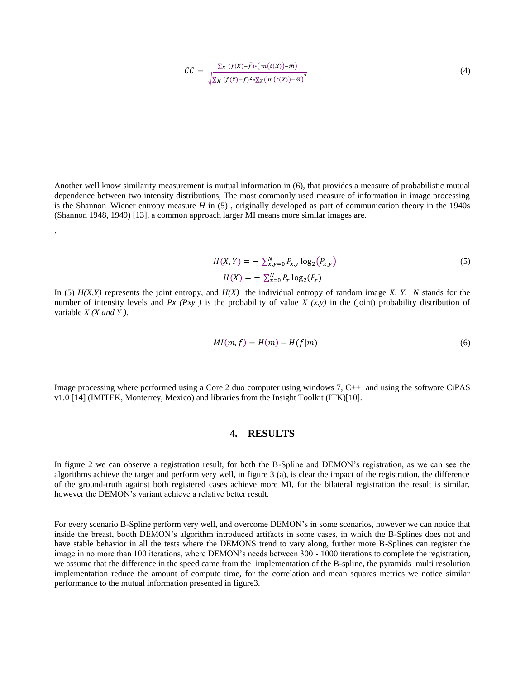$$
CC = \frac{\sum_{X} (f(X) - \bar{f}) * (m(t(X)) - \bar{m})}{\sqrt{\sum_{X} (f(X) - \bar{f})^2 * \sum_{X} (m(t(X)) - \bar{m})^2}}
$$
(4)

Another well know similarity measurement is mutual information in (6), that provides a measure of probabilistic mutual dependence between two intensity distributions, The most commonly used measure of information in image processing is the Shannon–Wiener entropy measure *H* in (5) , originally developed as part of communication theory in the 1940s (Shannon 1948, 1949) [13], a common approach larger MI means more similar images are.

.

$$
H(X,Y) = -\sum_{x,y=0}^{N} P_{x,y} \log_2(P_{x,y})
$$
\n
$$
H(X) = -\sum_{x=0}^{N} P_x \log_2(P_x)
$$
\n(5)

In (5) *H(X,Y)* represents the joint entropy, and *H(X)* the individual entropy of random image *X, Y, N* stands for the number of intensity levels and  $Px$  ( $Pxy$ ) is the probability of value  $X(x,y)$  in the (joint) probability distribution of variable *X (X and Y ).*

$$
MI(m, f) = H(m) - H(f|m)
$$
\n<sup>(6)</sup>

Image processing where performed using a Core 2 duo computer using windows 7, C++ and using the software CiPAS v1.0 [14] (IMITEK, Monterrey, Mexico) and libraries from the Insight Toolkit (ITK)[10].

# **4. RESULTS**

In figure 2 we can observe a registration result, for both the B-Spline and DEMON's registration, as we can see the algorithms achieve the target and perform very well, in figure 3 (a), is clear the impact of the registration, the difference of the ground-truth against both registered cases achieve more MI, for the bilateral registration the result is similar, however the DEMON's variant achieve a relative better result.

For every scenario B-Spline perform very well, and overcome DEMON's in some scenarios, however we can notice that inside the breast, booth DEMON's algorithm introduced artifacts in some cases, in which the B-Splines does not and have stable behavior in all the tests where the DEMONS trend to vary along, further more B-Splines can register the image in no more than 100 iterations, where DEMON's needs between 300 - 1000 iterations to complete the registration, we assume that the difference in the speed came from the implementation of the B-spline, the pyramids multi resolution implementation reduce the amount of compute time, for the correlation and mean squares metrics we notice similar performance to the mutual information presented in figure3.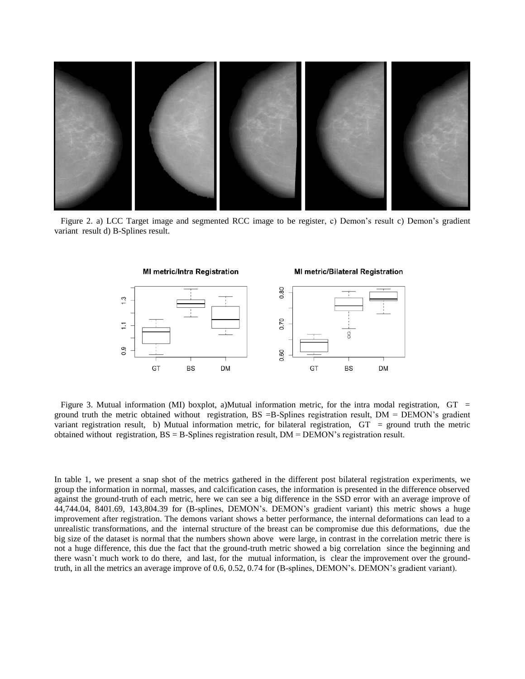

 Figure 2. a) LCC Target image and segmented RCC image to be register, c) Demon's result c) Demon's gradient variant result d) B-Splines result.



Figure 3. Mutual information (MI) boxplot, a)Mutual information metric, for the intra modal registration,  $GT =$ ground truth the metric obtained without registration, BS =B-Splines registration result, DM = DEMON's gradient variant registration result, b) Mutual information metric, for bilateral registration, GT = ground truth the metric obtained without registration,  $BS = B$ -Splines registration result,  $DM = DEMON$ 's registration result.

In table 1, we present a snap shot of the metrics gathered in the different post bilateral registration experiments, we group the information in normal, masses, and calcification cases, the information is presented in the difference observed against the ground-truth of each metric, here we can see a big difference in the SSD error with an average improve of 44,744.04, 8401.69, 143,804.39 for (B-splines, DEMON's. DEMON's gradient variant) this metric shows a huge improvement after registration. The demons variant shows a better performance, the internal deformations can lead to a unrealistic transformations, and the internal structure of the breast can be compromise due this deformations, due the big size of the dataset is normal that the numbers shown above were large, in contrast in the correlation metric there is not a huge difference, this due the fact that the ground-truth metric showed a big correlation since the beginning and there wasn`t much work to do there, and last, for the mutual information, is clear the improvement over the groundtruth, in all the metrics an average improve of 0.6, 0.52, 0.74 for (B-splines, DEMON's. DEMON's gradient variant).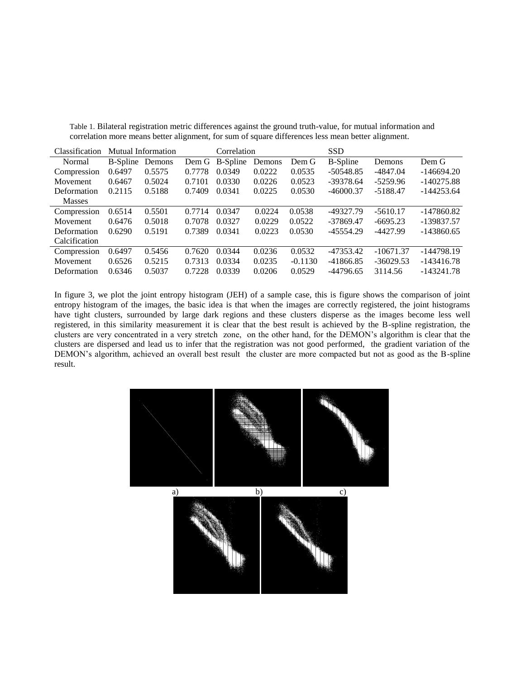| Classification | Mutual Information |        |        | Correlation |        |           | <b>SSD</b>      |             |              |
|----------------|--------------------|--------|--------|-------------|--------|-----------|-----------------|-------------|--------------|
| Normal         | <b>B</b> -Spline   | Demons | Dem G  | B-Spline    | Demons | Dem G     | <b>B-Spline</b> | Demons      | Dem G        |
| Compression    | 0.6497             | 0.5575 | 0.7778 | 0.0349      | 0.0222 | 0.0535    | $-50548.85$     | $-4847.04$  | $-146694.20$ |
| Movement       | 0.6467             | 0.5024 | 0.7101 | 0.0330      | 0.0226 | 0.0523    | $-39378.64$     | $-5259.96$  | $-140275.88$ |
| Deformation    | 0.2115             | 0.5188 | 0.7409 | 0.0341      | 0.0225 | 0.0530    | $-46000.37$     | $-5188.47$  | $-144253.64$ |
| <b>Masses</b>  |                    |        |        |             |        |           |                 |             |              |
| Compression    | 0.6514             | 0.5501 | 0.7714 | 0.0347      | 0.0224 | 0.0538    | -49327.79       | $-5610.17$  | $-147860.82$ |
| Movement       | 0.6476             | 0.5018 | 0.7078 | 0.0327      | 0.0229 | 0.0522    | $-37869.47$     | $-6695.23$  | -139837.57   |
| Deformation    | 0.6290             | 0.5191 | 0.7389 | 0.0341      | 0.0223 | 0.0530    | $-45554.29$     | $-4427.99$  | $-143860.65$ |
| Calcification  |                    |        |        |             |        |           |                 |             |              |
| Compression    | 0.6497             | 0.5456 | 0.7620 | 0.0344      | 0.0236 | 0.0532    | $-47353.42$     | $-10671.37$ | -144798.19   |
| Movement       | 0.6526             | 0.5215 | 0.7313 | 0.0334      | 0.0235 | $-0.1130$ | $-41866.85$     | $-36029.53$ | $-143416.78$ |
| Deformation    | 0.6346             | 0.5037 | 0.7228 | 0.0339      | 0.0206 | 0.0529    | $-44796.65$     | 3114.56     | $-143241.78$ |

Table 1. Bilateral registration metric differences against the ground truth-value, for mutual information and correlation more means better alignment, for sum of square differences less mean better alignment.

In figure 3, we plot the joint entropy histogram (JEH) of a sample case, this is figure shows the comparison of joint entropy histogram of the images, the basic idea is that when the images are correctly registered, the joint histograms have tight clusters, surrounded by large dark regions and these clusters disperse as the images become less well registered, in this similarity measurement it is clear that the best result is achieved by the B-spline registration, the clusters are very concentrated in a very stretch zone, on the other hand, for the DEMON's algorithm is clear that the clusters are dispersed and lead us to infer that the registration was not good performed, the gradient variation of the DEMON's algorithm, achieved an overall best result the cluster are more compacted but not as good as the B-spline result.

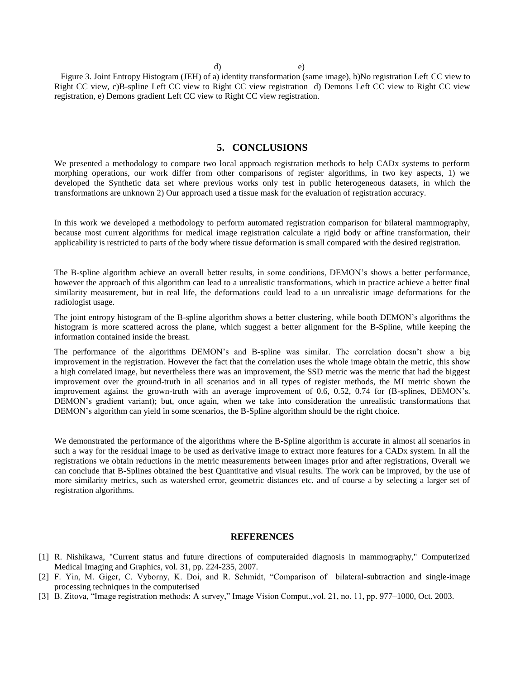d) e)

 Figure 3. Joint Entropy Histogram (JEH) of a) identity transformation (same image), b)No registration Left CC view to Right CC view, c)B-spline Left CC view to Right CC view registration d) Demons Left CC view to Right CC view registration, e) Demons gradient Left CC view to Right CC view registration.

## **5. CONCLUSIONS**

We presented a methodology to compare two local approach registration methods to help CAD<sub>x</sub> systems to perform morphing operations, our work differ from other comparisons of register algorithms, in two key aspects, 1) we developed the Synthetic data set where previous works only test in public heterogeneous datasets, in which the transformations are unknown 2) Our approach used a tissue mask for the evaluation of registration accuracy.

In this work we developed a methodology to perform automated registration comparison for bilateral mammography, because most current algorithms for medical image registration calculate a rigid body or affine transformation, their applicability is restricted to parts of the body where tissue deformation is small compared with the desired registration.

The B-spline algorithm achieve an overall better results, in some conditions, DEMON's shows a better performance, however the approach of this algorithm can lead to a unrealistic transformations, which in practice achieve a better final similarity measurement, but in real life, the deformations could lead to a un unrealistic image deformations for the radiologist usage.

The joint entropy histogram of the B-spline algorithm shows a better clustering, while booth DEMON's algorithms the histogram is more scattered across the plane, which suggest a better alignment for the B-Spline, while keeping the information contained inside the breast.

The performance of the algorithms DEMON's and B-spline was similar. The correlation doesn't show a big improvement in the registration. However the fact that the correlation uses the whole image obtain the metric, this show a high correlated image, but nevertheless there was an improvement, the SSD metric was the metric that had the biggest improvement over the ground-truth in all scenarios and in all types of register methods, the MI metric shown the improvement against the grown-truth with an average improvement of 0.6, 0.52, 0.74 for (B-splines, DEMON's. DEMON's gradient variant); but, once again, when we take into consideration the unrealistic transformations that DEMON's algorithm can yield in some scenarios, the B-Spline algorithm should be the right choice.

We demonstrated the performance of the algorithms where the B-Spline algorithm is accurate in almost all scenarios in such a way for the residual image to be used as derivative image to extract more features for a CADx system. In all the registrations we obtain reductions in the metric measurements between images prior and after registrations, Overall we can conclude that B-Splines obtained the best Quantitative and visual results. The work can be improved, by the use of more similarity metrics, such as watershed error, geometric distances etc. and of course a by selecting a larger set of registration algorithms.

#### **REFERENCES**

- [1] R. Nishikawa, "Current status and future directions of computeraided diagnosis in mammography," Computerized Medical Imaging and Graphics, vol. 31, pp. 224-235, 2007.
- [2] F. Yin, M. Giger, C. Vyborny, K. Doi, and R. Schmidt, "Comparison of bilateral-subtraction and single-image processing techniques in the computerised
- [3] B. Zitova, "Image registration methods: A survey," Image Vision Comput.,vol. 21, no. 11, pp. 977–1000, Oct. 2003.